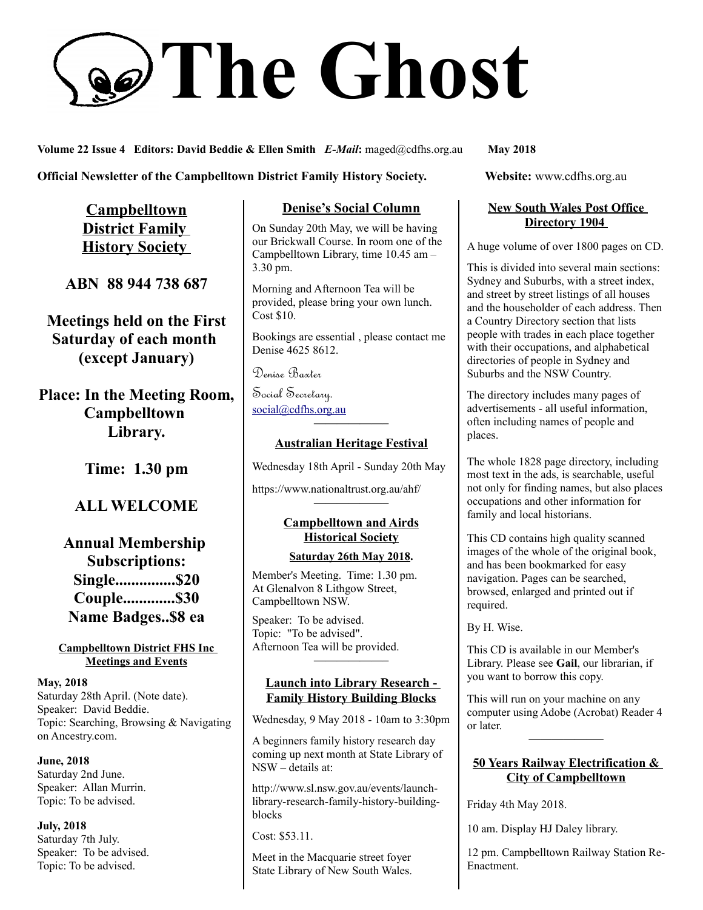# **The Ghost**

**Volume 22 Issue 4 Editors: David Beddie & Ellen Smith** *E-Mail***:** maged@cdfhs.org.au **May 2018**

## **Official Newsletter of the Campbelltown District Family History Society. Website: www.cdfhs.org.au**

**Campbelltown District Family History Society** 

**ABN 88 944 738 687**

**Meetings held on the First Saturday of each month (except January)**

**Place: In the Meeting Room, Campbelltown Library.**

**Time: 1.30 pm**

# **ALL WELCOME**

**Annual Membership Subscriptions: Single...............\$20 Couple.............\$30 Name Badges..\$8 ea**

#### **Campbelltown District FHS Inc Meetings and Events**

**May, 2018** Saturday 28th April. (Note date). Speaker: David Beddie. Topic: Searching, Browsing & Navigating on Ancestry.com.

**June, 2018** Saturday 2nd June. Speaker: Allan Murrin. Topic: To be advised.

**July, 2018** Saturday 7th July. Speaker: To be advised. Topic: To be advised.

## **Denise's Social Column**

On Sunday 20th May, we will be having our Brickwall Course. In room one of the Campbelltown Library, time 10.45 am – 3.30 pm.

Morning and Afternoon Tea will be provided, please bring your own lunch. Cost \$10.

Bookings are essential , please contact me Denise 4625 8612.

Denise Baxter

Social Secretary. [social@cdfhs.org.au](mailto:social@cdfhs.org.au)

# **——————– Australian Heritage Festival**

Wednesday 18th April - Sunday 20th May

https://www.nationaltrust.org.au/ahf/

## **Campbelltown and Airds Historical Society**

**——————–**

#### **Saturday 26th May 2018.**

Member's Meeting. Time: 1.30 pm. At Glenalvon 8 Lithgow Street, Campbelltown NSW.

Speaker: To be advised. Topic: "To be advised". Afternoon Tea will be provided.

#### **Launch into Library Research - Family History Building Blocks**

**——————–**

Wednesday, 9 May 2018 - 10am to 3:30pm

A beginners family history research day coming up next month at State Library of NSW – details at:

http://www.sl.nsw.gov.au/events/launchlibrary-research-family-history-buildingblocks

Cost: \$53.11.

Meet in the Macquarie street foyer State Library of New South Wales.

### **New South Wales Post Office Directory 1904**

A huge volume of over 1800 pages on CD.

This is divided into several main sections: Sydney and Suburbs, with a street index, and street by street listings of all houses and the householder of each address. Then a Country Directory section that lists people with trades in each place together with their occupations, and alphabetical directories of people in Sydney and Suburbs and the NSW Country.

The directory includes many pages of advertisements - all useful information, often including names of people and places.

The whole 1828 page directory, including most text in the ads, is searchable, useful not only for finding names, but also places occupations and other information for family and local historians.

This CD contains high quality scanned images of the whole of the original book, and has been bookmarked for easy navigation. Pages can be searched, browsed, enlarged and printed out if required.

By H. Wise.

This CD is available in our Member's Library. Please see **Gail**, our librarian, if you want to borrow this copy.

This will run on your machine on any computer using Adobe (Acrobat) Reader 4 or later.

**——————–**

#### **50 Years Railway Electrification & City of Campbelltown**

Friday 4th May 2018.

10 am. Display HJ Daley library.

12 pm. Campbelltown Railway Station Re-Enactment.